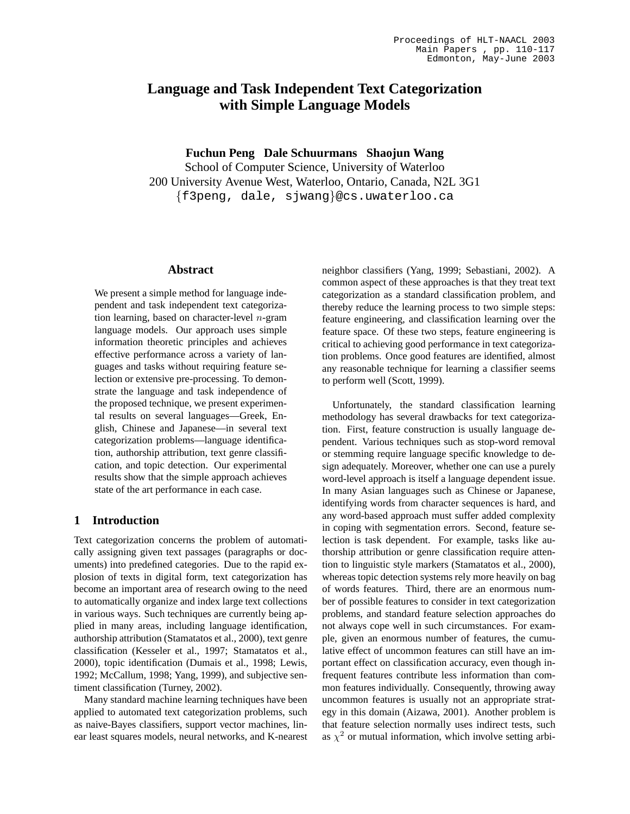# **Language and Task Independent Text Categorization with Simple Language Models**

**Fuchun Peng Dale Schuurmans Shaojun Wang**

School of Computer Science, University of Waterloo 200 University Avenue West, Waterloo, Ontario, Canada, N2L 3G1 {f3peng, dale, sjwang}@cs.uwaterloo.ca

## **Abstract**

We present a simple method for language independent and task independent text categorization learning, based on character-level  $n$ -gram language models. Our approach uses simple information theoretic principles and achieves effective performance across a variety of languages and tasks without requiring feature selection or extensive pre-processing. To demonstrate the language and task independence of the proposed technique, we present experimental results on several languages—Greek, English, Chinese and Japanese—in several text categorization problems—language identification, authorship attribution, text genre classification, and topic detection. Our experimental results show that the simple approach achieves state of the art performance in each case.

# **1 Introduction**

Text categorization concerns the problem of automatically assigning given text passages (paragraphs or documents) into predefined categories. Due to the rapid explosion of texts in digital form, text categorization has become an important area of research owing to the need to automatically organize and index large text collections in various ways. Such techniques are currently being applied in many areas, including language identification, authorship attribution (Stamatatos et al., 2000), text genre classification (Kesseler et al., 1997; Stamatatos et al., 2000), topic identification (Dumais et al., 1998; Lewis, 1992; McCallum, 1998; Yang, 1999), and subjective sentiment classification (Turney, 2002).

Many standard machine learning techniques have been applied to automated text categorization problems, such as naive-Bayes classifiers, support vector machines, linear least squares models, neural networks, and K-nearest

neighbor classifiers (Yang, 1999; Sebastiani, 2002). A common aspect of these approaches is that they treat text categorization as a standard classification problem, and thereby reduce the learning process to two simple steps: feature engineering, and classification learning over the feature space. Of these two steps, feature engineering is critical to achieving good performance in text categorization problems. Once good features are identified, almost any reasonable technique for learning a classifier seems to perform well (Scott, 1999).

Unfortunately, the standard classification learning methodology has several drawbacks for text categorization. First, feature construction is usually language dependent. Various techniques such as stop-word removal or stemming require language specific knowledge to design adequately. Moreover, whether one can use a purely word-level approach is itself a language dependent issue. In many Asian languages such as Chinese or Japanese, identifying words from character sequences is hard, and any word-based approach must suffer added complexity in coping with segmentation errors. Second, feature selection is task dependent. For example, tasks like authorship attribution or genre classification require attention to linguistic style markers (Stamatatos et al., 2000), whereas topic detection systems rely more heavily on bag of words features. Third, there are an enormous number of possible features to consider in text categorization problems, and standard feature selection approaches do not always cope well in such circumstances. For example, given an enormous number of features, the cumulative effect of uncommon features can still have an important effect on classification accuracy, even though infrequent features contribute less information than common features individually. Consequently, throwing away uncommon features is usually not an appropriate strategy in this domain (Aizawa, 2001). Another problem is that feature selection normally uses indirect tests, such as  $\chi^2$  or mutual information, which involve setting arbi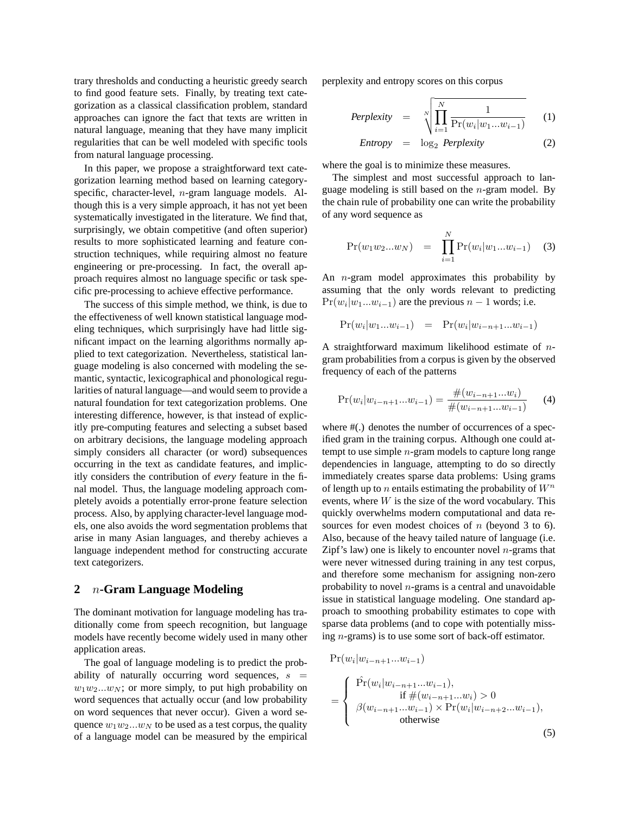trary thresholds and conducting a heuristic greedy search to find good feature sets. Finally, by treating text categorization as a classical classification problem, standard approaches can ignore the fact that texts are written in natural language, meaning that they have many implicit regularities that can be well modeled with specific tools from natural language processing.

In this paper, we propose a straightforward text categorization learning method based on learning categoryspecific, character-level, n-gram language models. Although this is a very simple approach, it has not yet been systematically investigated in the literature. We find that, surprisingly, we obtain competitive (and often superior) results to more sophisticated learning and feature construction techniques, while requiring almost no feature engineering or pre-processing. In fact, the overall approach requires almost no language specific or task specific pre-processing to achieve effective performance.

The success of this simple method, we think, is due to the effectiveness of well known statistical language modeling techniques, which surprisingly have had little significant impact on the learning algorithms normally applied to text categorization. Nevertheless, statistical language modeling is also concerned with modeling the semantic, syntactic, lexicographical and phonological regularities of natural language—and would seem to provide a natural foundation for text categorization problems. One interesting difference, however, is that instead of explicitly pre-computing features and selecting a subset based on arbitrary decisions, the language modeling approach simply considers all character (or word) subsequences occurring in the text as candidate features, and implicitly considers the contribution of *every* feature in the final model. Thus, the language modeling approach completely avoids a potentially error-prone feature selection process. Also, by applying character-level language models, one also avoids the word segmentation problems that arise in many Asian languages, and thereby achieves a language independent method for constructing accurate text categorizers.

# **2** n**-Gram Language Modeling**

The dominant motivation for language modeling has traditionally come from speech recognition, but language models have recently become widely used in many other application areas.

The goal of language modeling is to predict the probability of naturally occurring word sequences,  $s =$  $w_1w_2...w_N$ ; or more simply, to put high probability on word sequences that actually occur (and low probability on word sequences that never occur). Given a word sequence  $w_1w_2...w_N$  to be used as a test corpus, the quality of a language model can be measured by the empirical perplexity and entropy scores on this corpus

$$
Perplexity = \sqrt[N]{\prod_{i=1}^{N} \frac{1}{\Pr(w_i|w_1...w_{i-1})}}
$$
 (1)

$$
Entropy = \log_2 Perplexity \tag{2}
$$

where the goal is to minimize these measures.

The simplest and most successful approach to language modeling is still based on the *n*-gram model. By the chain rule of probability one can write the probability of any word sequence as

$$
Pr(w_1 w_2 ... w_N) = \prod_{i=1}^{N} Pr(w_i | w_1 ... w_{i-1})
$$
 (3)

An n-gram model approximates this probability by assuming that the only words relevant to predicting  $Pr(w_i|w_1...w_{i-1})$  are the previous  $n-1$  words; i.e.

$$
Pr(w_i|w_1...w_{i-1}) = Pr(w_i|w_{i-n+1}...w_{i-1})
$$

A straightforward maximum likelihood estimate of ngram probabilities from a corpus is given by the observed frequency of each of the patterns

$$
Pr(w_i|w_{i-n+1}...w_{i-1}) = \frac{\#(w_{i-n+1}...w_i)}{\#(w_{i-n+1}...w_{i-1})}
$$
 (4)

where  $\#(.)$  denotes the number of occurrences of a specified gram in the training corpus. Although one could attempt to use simple  $n$ -gram models to capture long range dependencies in language, attempting to do so directly immediately creates sparse data problems: Using grams of length up to *n* entails estimating the probability of  $W<sup>n</sup>$ events, where  $W$  is the size of the word vocabulary. This quickly overwhelms modern computational and data resources for even modest choices of  $n$  (beyond 3 to 6). Also, because of the heavy tailed nature of language (i.e. Zipf's law) one is likely to encounter novel  $n$ -grams that were never witnessed during training in any test corpus, and therefore some mechanism for assigning non-zero probability to novel  $n$ -grams is a central and unavoidable issue in statistical language modeling. One standard approach to smoothing probability estimates to cope with sparse data problems (and to cope with potentially missing  $n$ -grams) is to use some sort of back-off estimator.

$$
\Pr(w_i|w_{i-n+1}...w_{i-1})
$$
\n
$$
= \begin{cases}\n\hat{\Pr}(w_i|w_{i-n+1}...w_{i-1}), & \text{if } \#(w_{i-n+1}...w_i) > 0 \\
\beta(w_{i-n+1}...w_{i-1}) \times \Pr(w_i|w_{i-n+2}...w_{i-1}), & \text{otherwise}\n\end{cases}
$$
\n(5)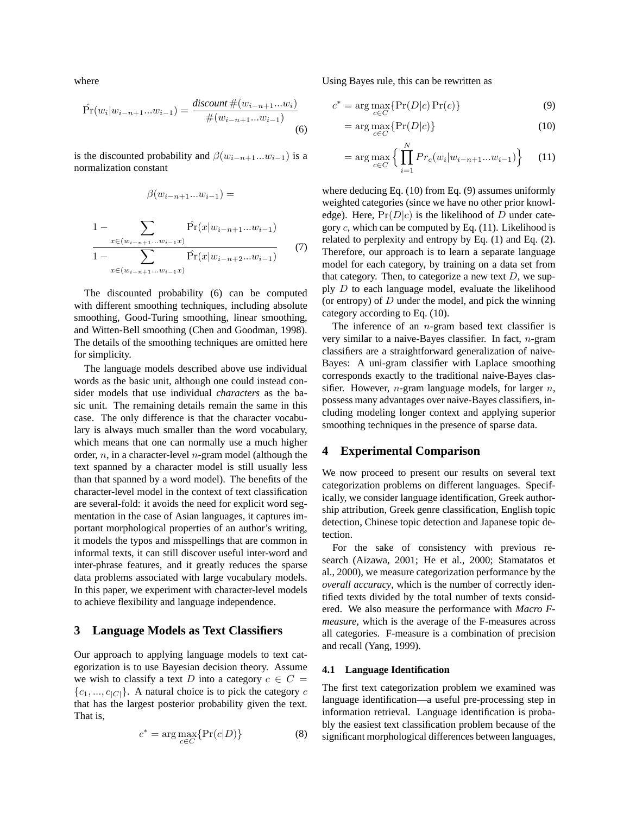where

$$
\hat{\Pr}(w_i|w_{i-n+1}...w_{i-1}) = \frac{\text{discount } \#(w_{i-n+1}...w_i)}{\#(w_{i-n+1}...w_{i-1})}
$$
\n(6)

is the discounted probability and  $\beta(w_{i-n+1}...w_{i-1})$  is a normalization constant

$$
\beta(w_{i-n+1}...w_{i-1}) =
$$
  
\n
$$
1 - \sum_{x \in (w_{i-n+1}...w_{i-1}x)} \hat{\Pr}(x|w_{i-n+1}...w_{i-1})
$$
  
\n
$$
1 - \sum_{x \in (w_{i-n+1}...w_{i-1}x)} \hat{\Pr}(x|w_{i-n+2}...w_{i-1})
$$
 (7)

The discounted probability (6) can be computed with different smoothing techniques, including absolute smoothing, Good-Turing smoothing, linear smoothing, and Witten-Bell smoothing (Chen and Goodman, 1998). The details of the smoothing techniques are omitted here for simplicity.

The language models described above use individual words as the basic unit, although one could instead consider models that use individual *characters* as the basic unit. The remaining details remain the same in this case. The only difference is that the character vocabulary is always much smaller than the word vocabulary, which means that one can normally use a much higher order,  $n$ , in a character-level  $n$ -gram model (although the text spanned by a character model is still usually less than that spanned by a word model). The benefits of the character-level model in the context of text classification are several-fold: it avoids the need for explicit word segmentation in the case of Asian languages, it captures important morphological properties of an author's writing, it models the typos and misspellings that are common in informal texts, it can still discover useful inter-word and inter-phrase features, and it greatly reduces the sparse data problems associated with large vocabulary models. In this paper, we experiment with character-level models to achieve flexibility and language independence.

## **3 Language Models as Text Classifiers**

Our approach to applying language models to text categorization is to use Bayesian decision theory. Assume we wish to classify a text D into a category  $c \in C =$  ${c_1, ..., c_{|C|}}$ . A natural choice is to pick the category c that has the largest posterior probability given the text. That is,

$$
c^* = \arg\max_{c \in C} \{ \Pr(c|D) \}
$$
 (8)

Using Bayes rule, this can be rewritten as

$$
c^* = \arg\max_{c \in C} \{ \Pr(D|c) \Pr(c) \}
$$
\n(9)

$$
= \arg\max_{c \in C} \{ \Pr(D|c) \} \tag{10}
$$

$$
= \arg \max_{c \in C} \left\{ \prod_{i=1}^{N} Pr_c(w_i | w_{i-n+1}...w_{i-1}) \right\} \tag{11}
$$

where deducing Eq. (10) from Eq. (9) assumes uniformly weighted categories (since we have no other prior knowledge). Here,  $Pr(D|c)$  is the likelihood of D under category  $c$ , which can be computed by Eq.  $(11)$ . Likelihood is related to perplexity and entropy by Eq. (1) and Eq. (2). Therefore, our approach is to learn a separate language model for each category, by training on a data set from that category. Then, to categorize a new text  $D$ , we supply D to each language model, evaluate the likelihood (or entropy) of  $D$  under the model, and pick the winning category according to Eq. (10).

The inference of an  $n$ -gram based text classifier is very similar to a naive-Bayes classifier. In fact, n-gram classifiers are a straightforward generalization of naive-Bayes: A uni-gram classifier with Laplace smoothing corresponds exactly to the traditional naive-Bayes classifier. However, *n*-gram language models, for larger  $n$ , possess many advantages over naive-Bayes classifiers, including modeling longer context and applying superior smoothing techniques in the presence of sparse data.

## **4 Experimental Comparison**

We now proceed to present our results on several text categorization problems on different languages. Specifically, we consider language identification, Greek authorship attribution, Greek genre classification, English topic detection, Chinese topic detection and Japanese topic detection.

For the sake of consistency with previous research (Aizawa, 2001; He et al., 2000; Stamatatos et al., 2000), we measure categorization performance by the *overall accuracy*, which is the number of correctly identified texts divided by the total number of texts considered. We also measure the performance with *Macro Fmeasure*, which is the average of the F-measures across all categories. F-measure is a combination of precision and recall (Yang, 1999).

#### **4.1 Language Identification**

The first text categorization problem we examined was language identification—a useful pre-processing step in information retrieval. Language identification is probably the easiest text classification problem because of the significant morphological differences between languages,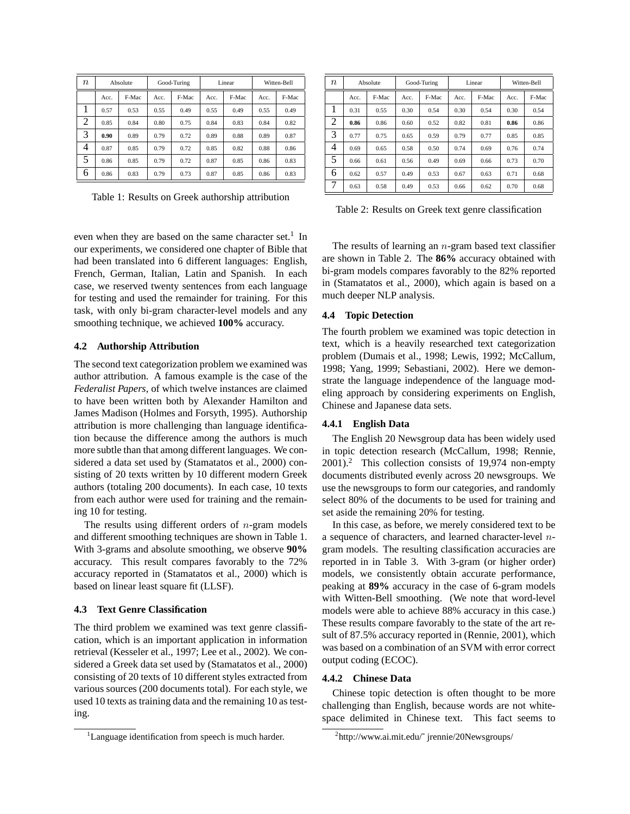| $\, n$ | Absolute |       | Good-Turing |       | Linear |       | Witten-Bell |       |
|--------|----------|-------|-------------|-------|--------|-------|-------------|-------|
|        | Acc.     | F-Mac | Acc.        | F-Mac | Acc.   | F-Mac | Acc.        | F-Mac |
| 1      | 0.57     | 0.53  | 0.55        | 0.49  | 0.55   | 0.49  | 0.55        | 0.49  |
| 2      | 0.85     | 0.84  | 0.80        | 0.75  | 0.84   | 0.83  | 0.84        | 0.82  |
| 3      | 0.90     | 0.89  | 0.79        | 0.72  | 0.89   | 0.88  | 0.89        | 0.87  |
| 4      | 0.87     | 0.85  | 0.79        | 0.72  | 0.85   | 0.82  | 0.88        | 0.86  |
| 5      | 0.86     | 0.85  | 0.79        | 0.72  | 0.87   | 0.85  | 0.86        | 0.83  |
| 6      | 0.86     | 0.83  | 0.79        | 0.73  | 0.87   | 0.85  | 0.86        | 0.83  |

Table 1: Results on Greek authorship attribution

even when they are based on the same character set.<sup>1</sup> In our experiments, we considered one chapter of Bible that had been translated into 6 different languages: English, French, German, Italian, Latin and Spanish. In each case, we reserved twenty sentences from each language for testing and used the remainder for training. For this task, with only bi-gram character-level models and any smoothing technique, we achieved **100%** accuracy.

#### **4.2 Authorship Attribution**

The second text categorization problem we examined was author attribution. A famous example is the case of the *Federalist Papers*, of which twelve instances are claimed to have been written both by Alexander Hamilton and James Madison (Holmes and Forsyth, 1995). Authorship attribution is more challenging than language identification because the difference among the authors is much more subtle than that among different languages. We considered a data set used by (Stamatatos et al., 2000) consisting of 20 texts written by 10 different modern Greek authors (totaling 200 documents). In each case, 10 texts from each author were used for training and the remaining 10 for testing.

The results using different orders of  $n$ -gram models and different smoothing techniques are shown in Table 1. With 3-grams and absolute smoothing, we observe **90%** accuracy. This result compares favorably to the 72% accuracy reported in (Stamatatos et al., 2000) which is based on linear least square fit (LLSF).

#### **4.3 Text Genre Classification**

The third problem we examined was text genre classification, which is an important application in information retrieval (Kesseler et al., 1997; Lee et al., 2002). We considered a Greek data set used by (Stamatatos et al., 2000) consisting of 20 texts of 10 different styles extracted from various sources (200 documents total). For each style, we used 10 texts as training data and the remaining 10 as testing.

| $\it n$ | Absolute |       | Good-Turing |       | Linear |       | Witten-Bell |       |
|---------|----------|-------|-------------|-------|--------|-------|-------------|-------|
|         | Acc.     | F-Mac | Acc.        | F-Mac | Acc.   | F-Mac | Acc.        | F-Mac |
| 1       | 0.31     | 0.55  | 0.30        | 0.54  | 0.30   | 0.54  | 0.30        | 0.54  |
| 2       | 0.86     | 0.86  | 0.60        | 0.52  | 0.82   | 0.81  | 0.86        | 0.86  |
| 3       | 0.77     | 0.75  | 0.65        | 0.59  | 0.79   | 0.77  | 0.85        | 0.85  |
| 4       | 0.69     | 0.65  | 0.58        | 0.50  | 0.74   | 0.69  | 0.76        | 0.74  |
| 5       | 0.66     | 0.61  | 0.56        | 0.49  | 0.69   | 0.66  | 0.73        | 0.70  |
| 6       | 0.62     | 0.57  | 0.49        | 0.53  | 0.67   | 0.63  | 0.71        | 0.68  |
| 7       | 0.63     | 0.58  | 0.49        | 0.53  | 0.66   | 0.62  | 0.70        | 0.68  |

Table 2: Results on Greek text genre classification

The results of learning an  $n$ -gram based text classifier are shown in Table 2. The **86%** accuracy obtained with bi-gram models compares favorably to the 82% reported in (Stamatatos et al., 2000), which again is based on a much deeper NLP analysis.

#### **4.4 Topic Detection**

The fourth problem we examined was topic detection in text, which is a heavily researched text categorization problem (Dumais et al., 1998; Lewis, 1992; McCallum, 1998; Yang, 1999; Sebastiani, 2002). Here we demonstrate the language independence of the language modeling approach by considering experiments on English, Chinese and Japanese data sets.

#### **4.4.1 English Data**

The English 20 Newsgroup data has been widely used in topic detection research (McCallum, 1998; Rennie,  $2001$ <sup>2</sup>. This collection consists of 19,974 non-empty documents distributed evenly across 20 newsgroups. We use the newsgroups to form our categories, and randomly select 80% of the documents to be used for training and set aside the remaining 20% for testing.

In this case, as before, we merely considered text to be a sequence of characters, and learned character-level ngram models. The resulting classification accuracies are reported in in Table 3. With 3-gram (or higher order) models, we consistently obtain accurate performance, peaking at **89%** accuracy in the case of 6-gram models with Witten-Bell smoothing. (We note that word-level models were able to achieve 88% accuracy in this case.) These results compare favorably to the state of the art result of 87.5% accuracy reported in (Rennie, 2001), which was based on a combination of an SVM with error correct output coding (ECOC).

#### **4.4.2 Chinese Data**

Chinese topic detection is often thought to be more challenging than English, because words are not whitespace delimited in Chinese text. This fact seems to

<sup>&</sup>lt;sup>1</sup>Language identification from speech is much harder.

<sup>2</sup> http://www.ai.mit.edu/˜ jrennie/20Newsgroups/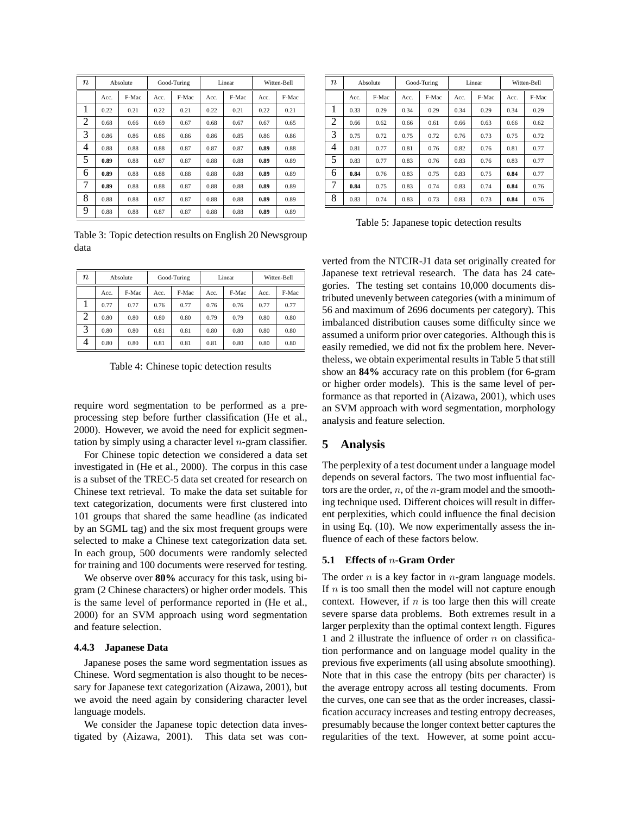| $\it n$ | Absolute |       | Good-Turing |       | Linear |       | Witten-Bell |       |
|---------|----------|-------|-------------|-------|--------|-------|-------------|-------|
|         | Acc.     | F-Mac | Acc.        | F-Mac | Acc.   | F-Mac | Acc.        | F-Mac |
| 1       | 0.22     | 0.21  | 0.22        | 0.21  | 0.22   | 0.21  | 0.22        | 0.21  |
| 2       | 0.68     | 0.66  | 0.69        | 0.67  | 0.68   | 0.67  | 0.67        | 0.65  |
| 3       | 0.86     | 0.86  | 0.86        | 0.86  | 0.86   | 0.85  | 0.86        | 0.86  |
| 4       | 0.88     | 0.88  | 0.88        | 0.87  | 0.87   | 0.87  | 0.89        | 0.88  |
| 5       | 0.89     | 0.88  | 0.87        | 0.87  | 0.88   | 0.88  | 0.89        | 0.89  |
| 6       | 0.89     | 0.88  | 0.88        | 0.88  | 0.88   | 0.88  | 0.89        | 0.89  |
| 7       | 0.89     | 0.88  | 0.88        | 0.87  | 0.88   | 0.88  | 0.89        | 0.89  |
| 8       | 0.88     | 0.88  | 0.87        | 0.87  | 0.88   | 0.88  | 0.89        | 0.89  |
| 9       | 0.88     | 0.88  | 0.87        | 0.87  | 0.88   | 0.88  | 0.89        | 0.89  |

Table 3: Topic detection results on English 20 Newsgroup data

| $\it n$ | Absolute |       | Good-Turing |       | Linear |       | Witten-Bell |       |
|---------|----------|-------|-------------|-------|--------|-------|-------------|-------|
|         | Acc.     | F-Mac | Acc.        | F-Mac | Acc.   | F-Mac | Acc.        | F-Mac |
|         | 0.77     | 0.77  | 0.76        | 0.77  | 0.76   | 0.76  | 0.77        | 0.77  |
| 2       | 0.80     | 0.80  | 0.80        | 0.80  | 0.79   | 0.79  | 0.80        | 0.80  |
| 3       | 0.80     | 0.80  | 0.81        | 0.81  | 0.80   | 0.80  | 0.80        | 0.80  |
| 4       | 0.80     | 0.80  | 0.81        | 0.81  | 0.81   | 0.80  | 0.80        | 0.80  |

Table 4: Chinese topic detection results

require word segmentation to be performed as a preprocessing step before further classification (He et al., 2000). However, we avoid the need for explicit segmentation by simply using a character level  $n$ -gram classifier.

For Chinese topic detection we considered a data set investigated in (He et al., 2000). The corpus in this case is a subset of the TREC-5 data set created for research on Chinese text retrieval. To make the data set suitable for text categorization, documents were first clustered into 101 groups that shared the same headline (as indicated by an SGML tag) and the six most frequent groups were selected to make a Chinese text categorization data set. In each group, 500 documents were randomly selected for training and 100 documents were reserved for testing.

We observe over **80%** accuracy for this task, using bigram (2 Chinese characters) or higher order models. This is the same level of performance reported in (He et al., 2000) for an SVM approach using word segmentation and feature selection.

#### **4.4.3 Japanese Data**

Japanese poses the same word segmentation issues as Chinese. Word segmentation is also thought to be necessary for Japanese text categorization (Aizawa, 2001), but we avoid the need again by considering character level language models.

We consider the Japanese topic detection data investigated by (Aizawa, 2001). This data set was con-

| $\it{n}$ | Absolute |       | Good-Turing |       | Linear |       | Witten-Bell |       |
|----------|----------|-------|-------------|-------|--------|-------|-------------|-------|
|          | Acc.     | F-Mac | Acc.        | F-Mac | Acc.   | F-Mac | Acc.        | F-Mac |
| 1        | 0.33     | 0.29  | 0.34        | 0.29  | 0.34   | 0.29  | 0.34        | 0.29  |
| 2        | 0.66     | 0.62  | 0.66        | 0.61  | 0.66   | 0.63  | 0.66        | 0.62  |
| 3        | 0.75     | 0.72  | 0.75        | 0.72  | 0.76   | 0.73  | 0.75        | 0.72  |
| 4        | 0.81     | 0.77  | 0.81        | 0.76  | 0.82   | 0.76  | 0.81        | 0.77  |
| 5        | 0.83     | 0.77  | 0.83        | 0.76  | 0.83   | 0.76  | 0.83        | 0.77  |
| 6        | 0.84     | 0.76  | 0.83        | 0.75  | 0.83   | 0.75  | 0.84        | 0.77  |
| 7        | 0.84     | 0.75  | 0.83        | 0.74  | 0.83   | 0.74  | 0.84        | 0.76  |
| 8        | 0.83     | 0.74  | 0.83        | 0.73  | 0.83   | 0.73  | 0.84        | 0.76  |

Table 5: Japanese topic detection results

verted from the NTCIR-J1 data set originally created for Japanese text retrieval research. The data has 24 categories. The testing set contains 10,000 documents distributed unevenly between categories (with a minimum of 56 and maximum of 2696 documents per category). This imbalanced distribution causes some difficulty since we assumed a uniform prior over categories. Although this is easily remedied, we did not fix the problem here. Nevertheless, we obtain experimental results in Table 5 that still show an **84%** accuracy rate on this problem (for 6-gram or higher order models). This is the same level of performance as that reported in (Aizawa, 2001), which uses an SVM approach with word segmentation, morphology analysis and feature selection.

#### **5 Analysis**

The perplexity of a test document under a language model depends on several factors. The two most influential factors are the order,  $n$ , of the  $n$ -gram model and the smoothing technique used. Different choices will result in different perplexities, which could influence the final decision in using Eq. (10). We now experimentally assess the influence of each of these factors below.

## **5.1 Effects of** n**-Gram Order**

The order  $n$  is a key factor in  $n$ -gram language models. If  $n$  is too small then the model will not capture enough context. However, if  $n$  is too large then this will create severe sparse data problems. Both extremes result in a larger perplexity than the optimal context length. Figures 1 and 2 illustrate the influence of order  $n$  on classification performance and on language model quality in the previous five experiments (all using absolute smoothing). Note that in this case the entropy (bits per character) is the average entropy across all testing documents. From the curves, one can see that as the order increases, classification accuracy increases and testing entropy decreases, presumably because the longer context better captures the regularities of the text. However, at some point accu-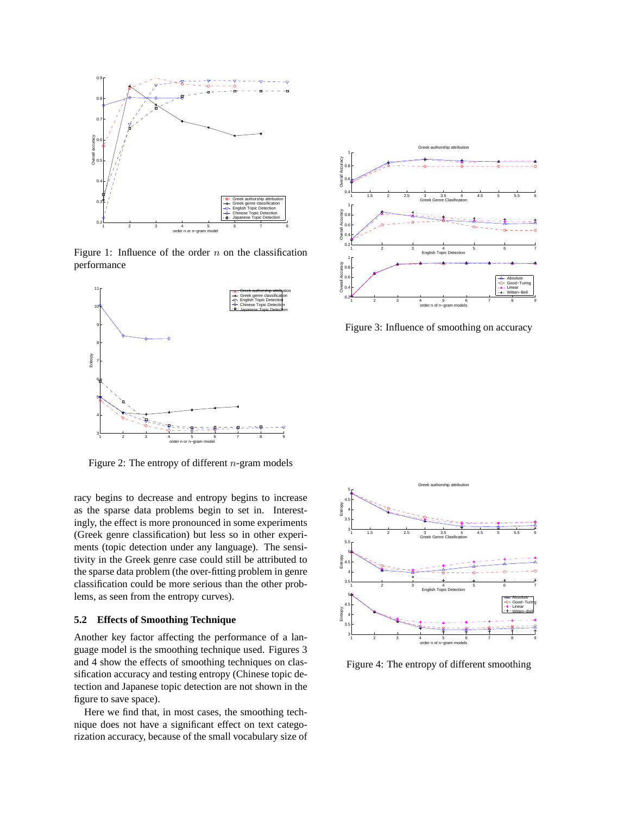

Figure 1: Influence of the order  $n$  on the classification performance





Figure 3: Influence of smoothing on accuracy

Figure 2: The entropy of different  $n$ -gram models

racy begins to decrease and entropy begins to increase as the sparse data problems begin to set in. Interestingly, the effect is more pronounced in some experiments (Greek genre classification) but less so in other experiments (topic detection under any language). The sensitivity in the Greek genre case could still be attributed to the sparse data problem (the over-fitting problem in genre classification could be more serious than the other problems, as seen from the entropy curves).

#### **5.2 Effects of Smoothing Technique**

Another key factor affecting the performance of a language model is the smoothing technique used. Figures 3 and 4 show the effects of smoothing techniques on classification accuracy and testing entropy (Chinese topic detection and Japanese topic detection are not shown in the figure to save space).

Here we find that, in most cases, the smoothing technique does not have a significant effect on text categorization accuracy, because of the small vocabulary size of



Figure 4: The entropy of different smoothing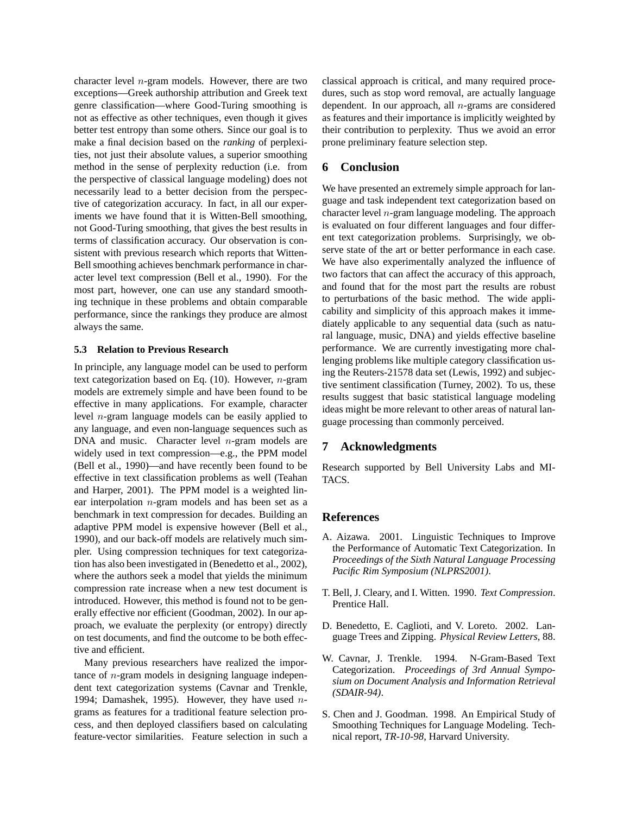character level n-gram models. However, there are two exceptions—Greek authorship attribution and Greek text genre classification—where Good-Turing smoothing is not as effective as other techniques, even though it gives better test entropy than some others. Since our goal is to make a final decision based on the *ranking* of perplexities, not just their absolute values, a superior smoothing method in the sense of perplexity reduction (i.e. from the perspective of classical language modeling) does not necessarily lead to a better decision from the perspective of categorization accuracy. In fact, in all our experiments we have found that it is Witten-Bell smoothing, not Good-Turing smoothing, that gives the best results in terms of classification accuracy. Our observation is consistent with previous research which reports that Witten-Bell smoothing achieves benchmark performance in character level text compression (Bell et al., 1990). For the most part, however, one can use any standard smoothing technique in these problems and obtain comparable performance, since the rankings they produce are almost always the same.

#### **5.3 Relation to Previous Research**

In principle, any language model can be used to perform text categorization based on Eq.  $(10)$ . However, *n*-gram models are extremely simple and have been found to be effective in many applications. For example, character level n-gram language models can be easily applied to any language, and even non-language sequences such as DNA and music. Character level  $n$ -gram models are widely used in text compression—e.g., the PPM model (Bell et al., 1990)—and have recently been found to be effective in text classification problems as well (Teahan and Harper, 2001). The PPM model is a weighted linear interpolation n-gram models and has been set as a benchmark in text compression for decades. Building an adaptive PPM model is expensive however (Bell et al., 1990), and our back-off models are relatively much simpler. Using compression techniques for text categorization has also been investigated in (Benedetto et al., 2002), where the authors seek a model that yields the minimum compression rate increase when a new test document is introduced. However, this method is found not to be generally effective nor efficient (Goodman, 2002). In our approach, we evaluate the perplexity (or entropy) directly on test documents, and find the outcome to be both effective and efficient.

Many previous researchers have realized the importance of  $n$ -gram models in designing language independent text categorization systems (Cavnar and Trenkle, 1994; Damashek, 1995). However, they have used  $n$ grams as features for a traditional feature selection process, and then deployed classifiers based on calculating feature-vector similarities. Feature selection in such a classical approach is critical, and many required procedures, such as stop word removal, are actually language dependent. In our approach, all n-grams are considered as features and their importance is implicitly weighted by their contribution to perplexity. Thus we avoid an error prone preliminary feature selection step.

# **6 Conclusion**

We have presented an extremely simple approach for language and task independent text categorization based on character level  $n$ -gram language modeling. The approach is evaluated on four different languages and four different text categorization problems. Surprisingly, we observe state of the art or better performance in each case. We have also experimentally analyzed the influence of two factors that can affect the accuracy of this approach, and found that for the most part the results are robust to perturbations of the basic method. The wide applicability and simplicity of this approach makes it immediately applicable to any sequential data (such as natural language, music, DNA) and yields effective baseline performance. We are currently investigating more challenging problems like multiple category classification using the Reuters-21578 data set (Lewis, 1992) and subjective sentiment classification (Turney, 2002). To us, these results suggest that basic statistical language modeling ideas might be more relevant to other areas of natural language processing than commonly perceived.

# **7 Acknowledgments**

Research supported by Bell University Labs and MI-TACS.

## **References**

- A. Aizawa. 2001. Linguistic Techniques to Improve the Performance of Automatic Text Categorization. In *Proceedings of the Sixth Natural Language Processing Pacific Rim Symposium (NLPRS2001)*.
- T. Bell, J. Cleary, and I. Witten. 1990. *Text Compression*. Prentice Hall.
- D. Benedetto, E. Caglioti, and V. Loreto. 2002. Language Trees and Zipping. *Physical Review Letters*, 88.
- W. Cavnar, J. Trenkle. 1994. N-Gram-Based Text Categorization. *Proceedings of 3rd Annual Symposium on Document Analysis and Information Retrieval (SDAIR-94)*.
- S. Chen and J. Goodman. 1998. An Empirical Study of Smoothing Techniques for Language Modeling. Technical report, *TR-10-98*, Harvard University.